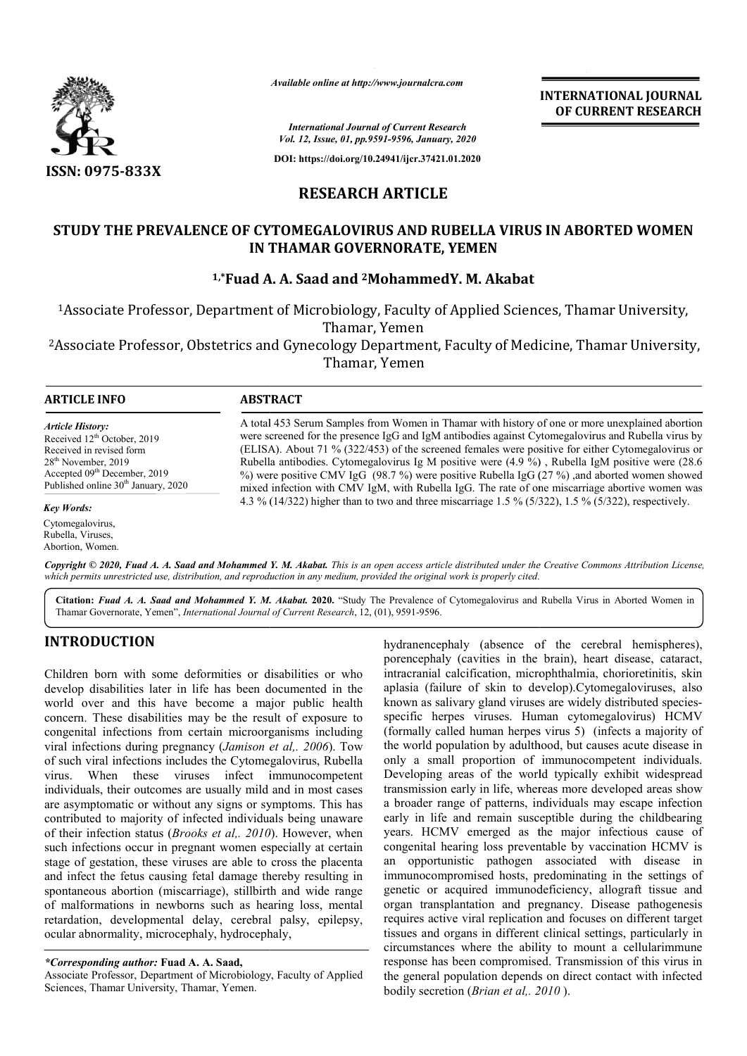

*Available online at http://www.journalcra.com*

**INTERNATIONAL JOURNAL OF CURRENT RESEARCH**

*International Journal of Current Research Vol. 12, Issue, 01, pp.9591-9596, January, 2020*

**DOI: https://doi.org/10.24941/ijcr.37421.01.2020**

# **RESEARCH ARTICLE**

## **STUDY THE PREVALENCE OF CYTOMEGALOVIRUS AND RUBELLA VIRUS IN ABORTED WOMEN STUDY PREVALENCE OF CYTOMEGALOVIRUS AND RUBELLA IN THAMAR GOVERNORATE, YEMEN**

## **1,\*Fuad A. A. Fuad Saad and 2MohammedY. M. Akabat**

1Associate Professor, Department of Microbiology, Faculty of Applied Sciences, Associate Thamar, Yemen Thamar University,

<sup>2</sup>Associate Professor, Obstetrics and Gynecology Department, Faculty of Medicine, Thamar University, Thamar, Yemen

| <b>ARTICLE INFO</b> | <b>ABSTRACT</b> |
|---------------------|-----------------|

*Article History:* Received 12<sup>th</sup> October, 2019 Received in revised form 28th November, 2019 Accepted 09<sup>th</sup> December, 2019 Published online 30<sup>th</sup> January, 2020

#### *Key Words:*

Cytomegalovirus, Rubella, Viruses, Abortion, Women.

A total 453 Serum Samples from Women in Thamar with history of one or more unexplained abortion were screened for the presence IgG and IgM antibodies against Cytomegalovirus and Rubella virus by A total 453 Serum Samples from Women in Thamar with history of one or more unexplained abortion<br>were screened for the presence IgG and IgM antibodies against Cytomegalovirus and Rubella virus by<br>(ELISA). About 71 % (322/45 Rubella antibodies. Cytomegalovirus Ig M positive were (4.9 %) , Rubella IgM positive were (28.6 %) were positive CMV IgG (98.7 %) were positive Rubella IgG (27 %) ,and aborted women showed mixed infection with CMV IgM, with Rubel Rubella IgG. The rate of one miscarriage abortive women was Rubella antibodies. Cytomegalovirus Ig M positive were  $(4.9 \%)$ , Rubella IgM positive were  $(2\%)$  were positive CMV IgG  $(98.7 \%)$  were positive Rubella IgG  $(27 \%)$ , and aborted women show mixed infection with CMV IgM, wit

Copyright © 2020, Fuad A. A. Saad and Mohammed Y. M. Akabat. This is an open access article distributed under the Creative Commons Attribution License, which permits unrestricted use, distribution, and reproduction in any medium, provided the original work is properly cited.

Citation: Fuad A. A. Saad and Mohammed Y. M. Akabat. 2020. "Study The Prevalence of Cytomegalovirus and Rubella Virus in Aborted Women in Thamar Governorate, Yemen", *International Journal of Current Research*, 12, (01), 9591-9596.

# **INTRODUCTION**

Children born with some deformities or disabilities or who develop disabilities later in life has been documented in the world over and this have become a major public health concern. These disabilities may be the result of exposure to congenital infections from certain microorganisms including viral infections during pregnancy (*Jamison et al,. 2006* ). Tow of such viral infections includes the Cytomegalovirus, Rubella virus. When these viruses infect immunocompetent individuals, their outcomes are usually mild and in most cases are asymptomatic or without any signs or symptoms. This has contributed to majority of infected individuals being unaware of their infection status (*Brooks et al,. 2010* ). However, when such infections occur in pregnant women especially at certain stage of gestation, these viruses are able to cross the placenta and infect the fetus causing fetal damage thereby resulting in spontaneous abortion (miscarriage), stillbirth and wide range of malformations in newborns such as hearing loss, mental retardation, developmental delay, cerebral palsy, epilepsy, ocular abnormality, microcephaly, hydrocephaly,

Associate Professor, Department of Microbiology, Faculty of Applied Sciences, Thamar University, Thamar, Yemen.

THOIN<br>
Im hydranencephaly (absence of the cerebral hemispheres),<br>
promovementally (cavities inter this assume that implains the minimal, heat dissesse, cataract<br>
biblioties later in life has become a major public health ap porencephaly (cavities in the brain), heart disease, cataract, intracranial calcification, microphthalmia, chorioretinitis, skin aplasia (failure of skin to develop).Cytomegaloviruses, also known as salivary gland viruses are widely distributed species specific herpes viruses. Human cytomegalovirus) HCMV (formally called human herpes virus 5) (infects a majority of the world population by adulthood, but causes acute disease in only a small proportion of immunocompetent individuals. Developing areas of the world typically exhibit widespread transmission early in life, whereas more developed areas show a broader range of patterns, individuals may escape infection early in life and remain susceptible during the childbearing years. HCMV emerged as the major infectious cause of congenital hearing loss preventable by vaccination HCMV is an opportunistic pathogen associated with disease in immunocompromised hosts, predominating in the settings of genetic or acquired immunodeficiency, allograft tissue and organ transplantation and pregnancy. Disease pathogenesis requires active viral replication and focuses on different target tissues and organs in different clinical settings, particularly in circumstances where the ability to mount a cellularimmune response has been compromised. Transmission of this virus in the general population depends on direct contact with infected bodily secretion (*Brian et al,. 2010* ). haly (absence of the cerebral hemispheres), y (cavities in the brain), heart disease, cataract, calcification, microphthalmia, chorioretinitis, skin ure of skin to develop). Cytomegaloviruses, also livary gland viruses are specific herpes viruses. Human cytomegalovirus) HCMV (formally called human herpes virus 5) (infects a majority of the world population by adulthood, but causes acute disease in only a small proportion of immunocompetent i years. HCMV emerged as the major infectious cause of congenital hearing loss preventable by vaccination HCMV is an opportunistic pathogen associated with disease in immunocompromised hosts, predominating in the settings of

*<sup>\*</sup>Corresponding author:* **Fuad A. A. Saad,**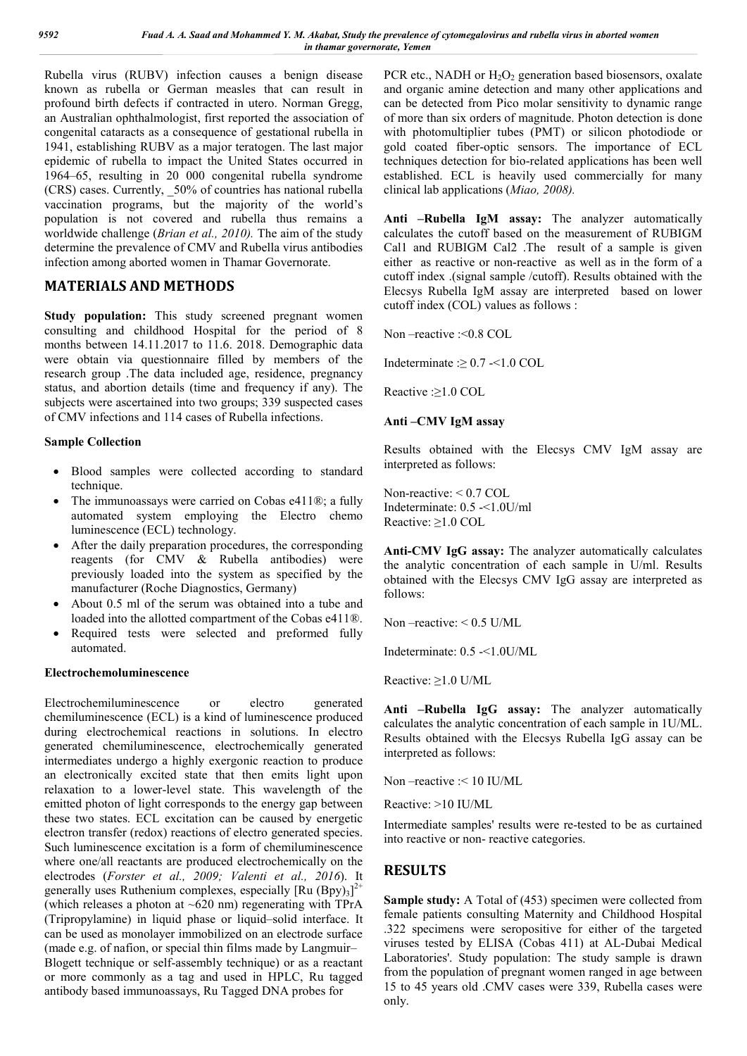Rubella virus (RUBV) infection causes a benign disease known as rubella or German measles that can result in profound birth defects if contracted in utero. Norman Gregg, an Australian ophthalmologist, first reported the association of congenital cataracts as a consequence of gestational rubella in 1941, establishing RUBV as a major teratogen. The last major epidemic of rubella to impact the United States occurred in 1964–65, resulting in 20 000 congenital rubella syndrome (CRS) cases. Currently, \_50% of countries has national rubella vaccination programs, but the majority of the world's population is not covered and rubella thus remains a worldwide challenge (*Brian et al., 2010).* The aim of the study determine the prevalence of CMV and Rubella virus antibodies infection among aborted women in Thamar Governorate.

### **MATERIALS AND METHODS**

**Study population:** This study screened pregnant women consulting and childhood Hospital for the period of 8 months between 14.11.2017 to 11.6. 2018. Demographic data were obtain via questionnaire filled by members of the research group .The data included age, residence, pregnancy status, and abortion details (time and frequency if any). The subjects were ascertained into two groups; 339 suspected cases of CMV infections and 114 cases of Rubella infections.

### **Sample Collection**

- Blood samples were collected according to standard technique.
- The immunoassays were carried on Cobas e411®; a fully automated system employing the Electro chemo luminescence (ECL) technology.
- After the daily preparation procedures, the corresponding reagents (for CMV & Rubella antibodies) were previously loaded into the system as specified by the manufacturer (Roche Diagnostics, Germany)
- About 0.5 ml of the serum was obtained into a tube and loaded into the allotted compartment of the Cobas e411®.
- Required tests were selected and preformed fully automated.

### **Electrochemoluminescence**

Electrochemiluminescence or electro generated chemiluminescence (ECL) is a kind of luminescence produced during electrochemical reactions in solutions. In electro generated chemiluminescence, electrochemically generated intermediates undergo a highly exergonic reaction to produce an electronically excited state that then emits light upon relaxation to a lower-level state. This wavelength of the emitted photon of light corresponds to the energy gap between these two states. ECL excitation can be caused by energetic electron transfer (redox) reactions of electro generated species. Such luminescence excitation is a form of chemiluminescence where one/all reactants are produced electrochemically on the electrodes (*Forster et al., 2009; Valenti et al., 2016*). It generally uses Ruthenium complexes, especially  $[Ru (Bpy)_3]^{2+}$ (which releases a photon at  $\sim 620$  nm) regenerating with TPrA (Tripropylamine) in liquid phase or liquid–solid interface. It can be used as monolayer immobilized on an electrode surface (made e.g. of nafion, or special thin films made by Langmuir– Blogett technique or self-assembly technique) or as a reactant or more commonly as a tag and used in HPLC, Ru tagged antibody based immunoassays, Ru Tagged DNA probes for

PCR etc., NADH or H<sub>2</sub>O<sub>2</sub> generation based biosensors, oxalate and organic amine detection and many other applications and can be detected from Pico molar sensitivity to dynamic range of more than six orders of magnitude. Photon detection is done with photomultiplier tubes (PMT) or silicon photodiode or gold coated fiber-optic sensors. The importance of ECL techniques detection for bio-related applications has been well established. ECL is heavily used commercially for many clinical lab applications (*Miao, 2008).*

**Anti –Rubella IgM assay:** The analyzer automatically calculates the cutoff based on the measurement of RUBIGM Cal1 and RUBIGM Cal2 .The result of a sample is given either as reactive or non-reactive as well as in the form of a cutoff index .(signal sample /cutoff). Results obtained with the Elecsys Rubella IgM assay are interpreted based on lower cutoff index (COL) values as follows :

Non –reactive :<0.8 COL

Indeterminate  $: \geq 0.7$  -<1.0 COL

Reactive :≥1.0 COL

### **Anti –CMV IgM assay**

Results obtained with the Elecsys CMV IgM assay are interpreted as follows:

Non-reactive: < 0.7 COL Indeterminate: 0.5 -<1.0U/ml Reactive: ≥1.0 COL

**Anti-CMV IgG assay:** The analyzer automatically calculates the analytic concentration of each sample in U/ml. Results obtained with the Elecsys CMV IgG assay are interpreted as follows:

Non –reactive: < 0.5 U/ML

Indeterminate: 0.5 -<1.0U/ML

Reactive: ≥1.0 U/ML

**Anti –Rubella IgG assay:** The analyzer automatically calculates the analytic concentration of each sample in 1U/ML. Results obtained with the Elecsys Rubella IgG assay can be interpreted as follows:

Non –reactive :< 10 IU/ML

Reactive: >10 IU/ML

Intermediate samples' results were re-tested to be as curtained into reactive or non- reactive categories.

# **RESULTS**

**Sample study:** A Total of (453) specimen were collected from female patients consulting Maternity and Childhood Hospital .322 specimens were seropositive for either of the targeted viruses tested by ELISA (Cobas 411) at AL-Dubai Medical Laboratories'. Study population: The study sample is drawn from the population of pregnant women ranged in age between 15 to 45 years old .CMV cases were 339, Rubella cases were only.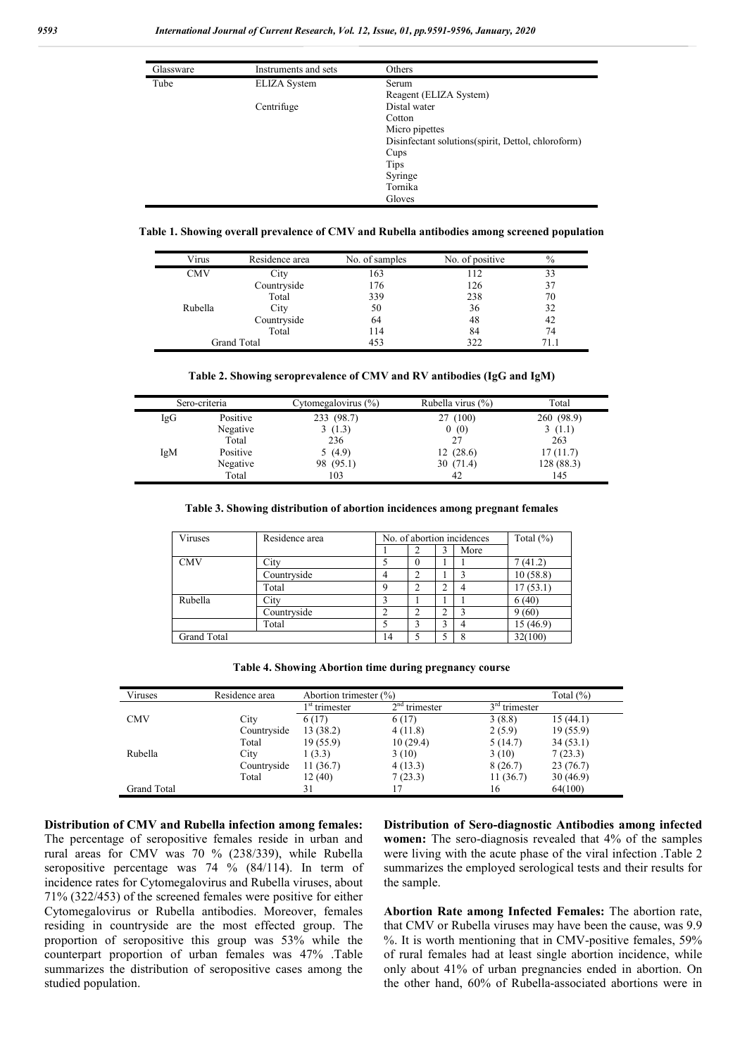| Glassware                                 | Instruments and sets | Others                                              |  |  |  |
|-------------------------------------------|----------------------|-----------------------------------------------------|--|--|--|
| Tube<br><b>ELIZA</b> System<br>Centrifuge |                      | Serum                                               |  |  |  |
|                                           |                      | Reagent (ELIZA System)                              |  |  |  |
|                                           |                      | Distal water                                        |  |  |  |
|                                           |                      | Cotton                                              |  |  |  |
|                                           |                      | Micro pipettes                                      |  |  |  |
|                                           |                      | Disinfectant solutions (spirit, Dettol, chloroform) |  |  |  |
|                                           |                      | Cups                                                |  |  |  |
|                                           |                      | <b>Tips</b>                                         |  |  |  |
|                                           |                      | Syringe                                             |  |  |  |
|                                           |                      | Tornika                                             |  |  |  |
|                                           |                      | Gloves                                              |  |  |  |

**Table 1. Showing overall prevalence of CMV and Rubella antibodies among screened population**

| Virus   | Residence area     | No. of samples | No. of positive | $\%$ |
|---------|--------------------|----------------|-----------------|------|
| CMV     | City               | 163            |                 | 33   |
|         | Countryside        | 176            | 126             | 37   |
|         | Total              | 339            | 238             | 70   |
| Rubella | City               | 50             | 36              | 32   |
|         | Countryside        | 64             | 48              | 42   |
|         | Total              | 114            | 84              | 74   |
|         | <b>Grand Total</b> | 453            | 322             | 71.1 |

|  | Table 2. Showing seroprevalence of CMV and RV antibodies (IgG and IgM) |  |  |  |
|--|------------------------------------------------------------------------|--|--|--|
|  |                                                                        |  |  |  |

|     | Sero-criteria | Cytomegalovirus (%) | Rubella virus (%) | Total      |
|-----|---------------|---------------------|-------------------|------------|
| IgG | Positive      | 233 (98.7)          | 27 (100)          | 260 (98.9) |
|     | Negative      | 3(1.3)              | 0(0)              | 3(1.1)     |
|     | Total         | 236                 | 27                | 263        |
| IgM | Positive      | 5(4.9)              | 12(28.6)          | 17(11.7)   |
|     | Negative      | 98 (95.1)           | 30 (71.4)         | 128(88.3)  |
|     | Total         | 103                 | 42                | 145        |

#### **Table 3. Showing distribution of abortion incidences among pregnant females**

| Viruses            | Residence area |    | No. of abortion incidences |  |      | Total $(\%)$ |
|--------------------|----------------|----|----------------------------|--|------|--------------|
|                    |                |    |                            |  | More |              |
| <b>CMV</b>         | City           |    |                            |  |      | 7 (41.2)     |
|                    | Countryside    |    |                            |  |      | 10(58.8)     |
|                    | Total          |    |                            |  |      | 17(53.1)     |
| Rubella            | City           |    |                            |  |      | 6(40)        |
|                    | Countryside    |    |                            |  |      | 9(60)        |
|                    | Total          |    |                            |  |      | 15 (46.9)    |
| <b>Grand Total</b> |                | 14 |                            |  |      | 32(100)      |

| Table 4. Showing Abortion time during pregnancy course |  |  |  |  |
|--------------------------------------------------------|--|--|--|--|
|--------------------------------------------------------|--|--|--|--|

| Viruses     | Residence area | Abortion trimester (%)                       |          |                 | Total $(\% )$ |  |
|-------------|----------------|----------------------------------------------|----------|-----------------|---------------|--|
|             |                | $2nd$ trimester<br>1 <sup>st</sup> trimester |          | $3rd$ trimester |               |  |
| <b>CMV</b>  | City           | 6(17)                                        | 6(17)    | 3(8.8)          | 15(44.1)      |  |
|             | Countryside    | 13(38.2)                                     | 4(11.8)  | 2(5.9)          | 19(55.9)      |  |
|             | Total          | 19(55.9)                                     | 10(29.4) | 5(14.7)         | 34(53.1)      |  |
| Rubella     | City           | 1(3.3)                                       | 3(10)    | 3(10)           | 7(23.3)       |  |
|             | Countryside    | 11(36.7)                                     | 4(13.3)  | 8(26.7)         | 23(76.7)      |  |
|             | Total          | 12(40)                                       | 7(23.3)  | 11(36.7)        | 30(46.9)      |  |
| Grand Total |                | 31                                           |          | 16              | 64(100)       |  |

**Distribution of CMV and Rubella infection among females:**  The percentage of seropositive females reside in urban and rural areas for CMV was 70 % (238/339), while Rubella seropositive percentage was 74 % (84/114). In term of incidence rates for Cytomegalovirus and Rubella viruses, about 71% (322/453) of the screened females were positive for either Cytomegalovirus or Rubella antibodies. Moreover, females residing in countryside are the most effected group. The proportion of seropositive this group was 53% while the counterpart proportion of urban females was 47% .Table summarizes the distribution of seropositive cases among the studied population.

**Distribution of Sero-diagnostic Antibodies among infected women:** The sero-diagnosis revealed that 4% of the samples were living with the acute phase of the viral infection .Table 2 summarizes the employed serological tests and their results for the sample.

**Abortion Rate among Infected Females:** The abortion rate, that CMV or Rubella viruses may have been the cause, was 9.9 %. It is worth mentioning that in CMV-positive females, 59% of rural females had at least single abortion incidence, while only about 41% of urban pregnancies ended in abortion. On the other hand, 60% of Rubella-associated abortions were in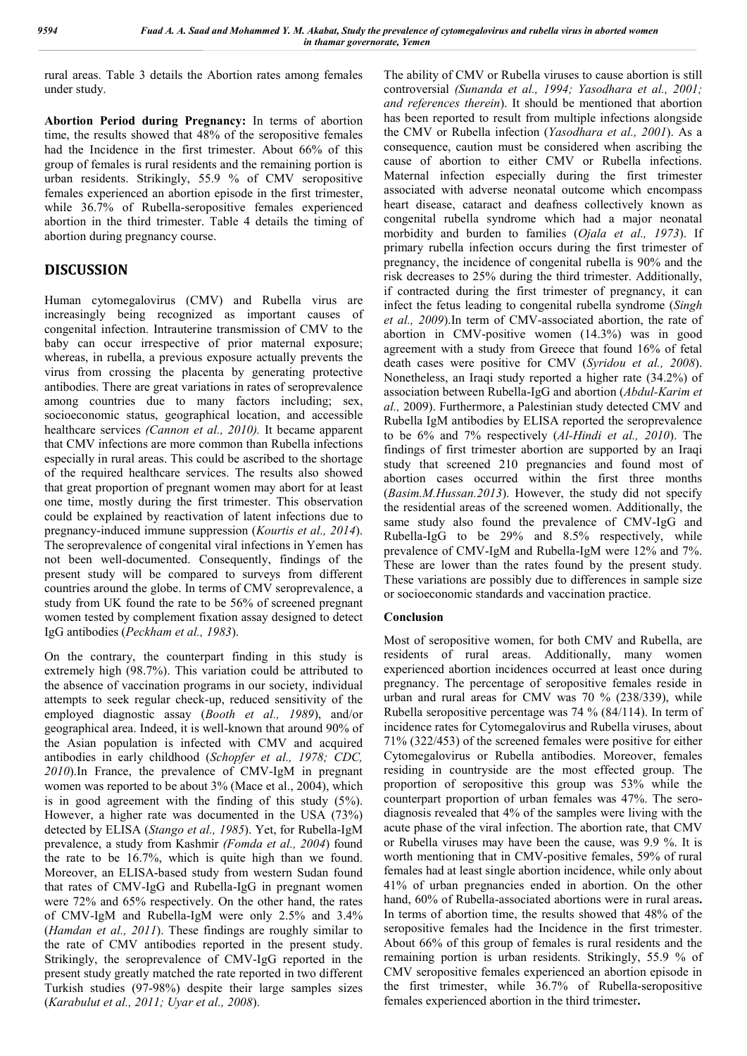rural areas. Table 3 details the Abortion rates among females under study.

**Abortion Period during Pregnancy:** In terms of abortion time, the results showed that 48% of the seropositive females had the Incidence in the first trimester. About 66% of this group of females is rural residents and the remaining portion is urban residents. Strikingly, 55.9 % of CMV seropositive females experienced an abortion episode in the first trimester, while 36.7% of Rubella-seropositive females experienced abortion in the third trimester. Table 4 details the timing of abortion during pregnancy course.

# **DISCUSSION**

Human cytomegalovirus (CMV) and Rubella virus are increasingly being recognized as important causes of congenital infection. Intrauterine transmission of CMV to the baby can occur irrespective of prior maternal exposure; whereas, in rubella, a previous exposure actually prevents the virus from crossing the placenta by generating protective antibodies. There are great variations in rates of seroprevalence among countries due to many factors including; sex, socioeconomic status, geographical location, and accessible healthcare services *(Cannon et al., 2010).* It became apparent that CMV infections are more common than Rubella infections especially in rural areas. This could be ascribed to the shortage of the required healthcare services. The results also showed that great proportion of pregnant women may abort for at least one time, mostly during the first trimester. This observation could be explained by reactivation of latent infections due to pregnancy-induced immune suppression (*Kourtis et al., 2014*). The seroprevalence of congenital viral infections in Yemen has not been well-documented. Consequently, findings of the present study will be compared to surveys from different countries around the globe. In terms of CMV seroprevalence, a study from UK found the rate to be 56% of screened pregnant women tested by complement fixation assay designed to detect IgG antibodies (*Peckham et al., 1983*).

On the contrary, the counterpart finding in this study is extremely high (98.7%). This variation could be attributed to the absence of vaccination programs in our society, individual attempts to seek regular check-up, reduced sensitivity of the employed diagnostic assay (*Booth et al., 1989*), and/or geographical area. Indeed, it is well-known that around 90% of the Asian population is infected with CMV and acquired antibodies in early childhood (*Schopfer et al., 1978; CDC, 2010*).In France, the prevalence of CMV-IgM in pregnant women was reported to be about 3% (Mace et al., 2004), which is in good agreement with the finding of this study (5%). However, a higher rate was documented in the USA (73%) detected by ELISA (*Stango et al., 1985*). Yet, for Rubella-IgM prevalence, a study from Kashmir *(Fomda et al., 2004*) found the rate to be 16.7%, which is quite high than we found. Moreover, an ELISA-based study from western Sudan found that rates of CMV-IgG and Rubella-IgG in pregnant women were 72% and 65% respectively. On the other hand, the rates of CMV-IgM and Rubella-IgM were only 2.5% and 3.4% (*Hamdan et al., 2011*). These findings are roughly similar to the rate of CMV antibodies reported in the present study. Strikingly, the seroprevalence of CMV-IgG reported in the present study greatly matched the rate reported in two different Turkish studies (97-98%) despite their large samples sizes (*Karabulut et al., 2011; Uyar et al., 2008*).

The ability of CMV or Rubella viruses to cause abortion is still controversial *(Sunanda et al., 1994; Yasodhara et al., 2001; and references therein*). It should be mentioned that abortion has been reported to result from multiple infections alongside the CMV or Rubella infection (*Yasodhara et al., 2001*). As a consequence, caution must be considered when ascribing the cause of abortion to either CMV or Rubella infections. Maternal infection especially during the first trimester associated with adverse neonatal outcome which encompass heart disease, cataract and deafness collectively known as congenital rubella syndrome which had a major neonatal morbidity and burden to families (*Ojala et al., 1973*). If primary rubella infection occurs during the first trimester of pregnancy, the incidence of congenital rubella is 90% and the risk decreases to 25% during the third trimester. Additionally, if contracted during the first trimester of pregnancy, it can infect the fetus leading to congenital rubella syndrome (*Singh et al., 2009*).In term of CMV-associated abortion, the rate of abortion in CMV-positive women (14.3%) was in good agreement with a study from Greece that found 16% of fetal death cases were positive for CMV (*Syridou et al., 2008*). Nonetheless, an Iraqi study reported a higher rate (34.2%) of association between Rubella-IgG and abortion (*Abdul-Karim et al.,* 2009). Furthermore, a Palestinian study detected CMV and Rubella IgM antibodies by ELISA reported the seroprevalence to be 6% and 7% respectively (*Al-Hindi et al., 2010*). The findings of first trimester abortion are supported by an Iraqi study that screened 210 pregnancies and found most of abortion cases occurred within the first three months (*Basim.M.Hussan.2013*). However, the study did not specify the residential areas of the screened women. Additionally, the same study also found the prevalence of CMV-IgG and Rubella-IgG to be 29% and 8.5% respectively, while prevalence of CMV-IgM and Rubella-IgM were 12% and 7%. These are lower than the rates found by the present study. These variations are possibly due to differences in sample size or socioeconomic standards and vaccination practice.

### **Conclusion**

Most of seropositive women, for both CMV and Rubella, are residents of rural areas. Additionally, many women experienced abortion incidences occurred at least once during pregnancy. The percentage of seropositive females reside in urban and rural areas for CMV was 70 % (238/339), while Rubella seropositive percentage was 74 % (84/114). In term of incidence rates for Cytomegalovirus and Rubella viruses, about 71% (322/453) of the screened females were positive for either Cytomegalovirus or Rubella antibodies. Moreover, females residing in countryside are the most effected group. The proportion of seropositive this group was 53% while the counterpart proportion of urban females was 47%. The serodiagnosis revealed that 4% of the samples were living with the acute phase of the viral infection. The abortion rate, that CMV or Rubella viruses may have been the cause, was 9.9 %. It is worth mentioning that in CMV-positive females, 59% of rural females had at least single abortion incidence, while only about 41% of urban pregnancies ended in abortion. On the other hand, 60% of Rubella-associated abortions were in rural areas**.** In terms of abortion time, the results showed that 48% of the seropositive females had the Incidence in the first trimester. About 66% of this group of females is rural residents and the remaining portion is urban residents. Strikingly, 55.9 % of CMV seropositive females experienced an abortion episode in the first trimester, while 36.7% of Rubella-seropositive females experienced abortion in the third trimester**.**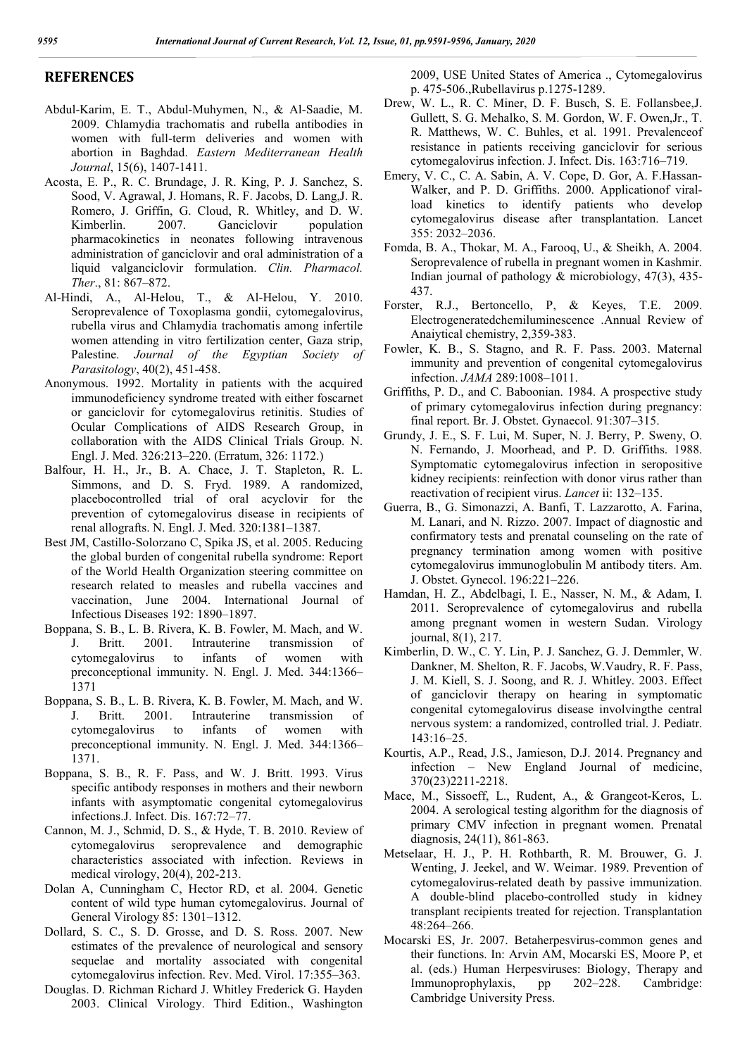### **REFERENCES**

- Abdul-Karim, E. T., Abdul-Muhymen, N., & Al-Saadie, M. 2009. Chlamydia trachomatis and rubella antibodies in women with full-term deliveries and women with abortion in Baghdad. *Eastern Mediterranean Health Journal*, 15(6), 1407-1411.
- Acosta, E. P., R. C. Brundage, J. R. King, P. J. Sanchez, S. Sood, V. Agrawal, J. Homans, R. F. Jacobs, D. Lang,J. R. Romero, J. Griffin, G. Cloud, R. Whitley, and D. W. Kimberlin. 2007. Ganciclovir population pharmacokinetics in neonates following intravenous administration of ganciclovir and oral administration of a liquid valganciclovir formulation. *Clin. Pharmacol. Ther*., 81: 867–872.
- Al-Hindi, A., Al-Helou, T., & Al-Helou, Y. 2010. Seroprevalence of Toxoplasma gondii, cytomegalovirus, rubella virus and Chlamydia trachomatis among infertile women attending in vitro fertilization center, Gaza strip, Palestine. *Journal of the Egyptian Society of Parasitology*, 40(2), 451-458.
- Anonymous. 1992. Mortality in patients with the acquired immunodeficiency syndrome treated with either foscarnet or ganciclovir for cytomegalovirus retinitis. Studies of Ocular Complications of AIDS Research Group, in collaboration with the AIDS Clinical Trials Group. N. Engl. J. Med. 326:213–220. (Erratum, 326: 1172.)
- Balfour, H. H., Jr., B. A. Chace, J. T. Stapleton, R. L. Simmons, and D. S. Fryd. 1989. A randomized, placebocontrolled trial of oral acyclovir for the prevention of cytomegalovirus disease in recipients of renal allografts. N. Engl. J. Med. 320:1381–1387.
- Best JM, Castillo-Solorzano C, Spika JS, et al. 2005. Reducing the global burden of congenital rubella syndrome: Report of the World Health Organization steering committee on research related to measles and rubella vaccines and vaccination, June 2004. International Journal of Infectious Diseases 192: 1890–1897.
- Boppana, S. B., L. B. Rivera, K. B. Fowler, M. Mach, and W. J. Britt. 2001. Intrauterine transmission of cytomegalovirus to infants of women with preconceptional immunity. N. Engl. J. Med. 344:1366– 1371
- Boppana, S. B., L. B. Rivera, K. B. Fowler, M. Mach, and W. J. Britt. 2001. Intrauterine transmission of cytomegalovirus to infants of women with preconceptional immunity. N. Engl. J. Med. 344:1366– 1371.
- Boppana, S. B., R. F. Pass, and W. J. Britt. 1993. Virus specific antibody responses in mothers and their newborn infants with asymptomatic congenital cytomegalovirus infections.J. Infect. Dis. 167:72–77.
- Cannon, M. J., Schmid, D. S., & Hyde, T. B. 2010. Review of cytomegalovirus seroprevalence and demographic characteristics associated with infection. Reviews in medical virology, 20(4), 202-213.
- Dolan A, Cunningham C, Hector RD, et al. 2004. Genetic content of wild type human cytomegalovirus. Journal of General Virology 85: 1301–1312.
- Dollard, S. C., S. D. Grosse, and D. S. Ross. 2007. New estimates of the prevalence of neurological and sensory sequelae and mortality associated with congenital cytomegalovirus infection. Rev. Med. Virol. 17:355–363.
- Douglas. D. Richman Richard J. Whitley Frederick G. Hayden 2003. Clinical Virology. Third Edition., Washington

2009, USE United States of America ., Cytomegalovirus p. 475-506.,Rubellavirus p.1275-1289.

- Drew, W. L., R. C. Miner, D. F. Busch, S. E. Follansbee,J. Gullett, S. G. Mehalko, S. M. Gordon, W. F. Owen,Jr., T. R. Matthews, W. C. Buhles, et al. 1991. Prevalenceof resistance in patients receiving ganciclovir for serious cytomegalovirus infection. J. Infect. Dis. 163:716–719.
- Emery, V. C., C. A. Sabin, A. V. Cope, D. Gor, A. F.Hassan-Walker, and P. D. Griffiths. 2000. Applicationof viralload kinetics to identify patients who develop cytomegalovirus disease after transplantation. Lancet 355: 2032–2036.
- Fomda, B. A., Thokar, M. A., Farooq, U., & Sheikh, A. 2004. Seroprevalence of rubella in pregnant women in Kashmir. Indian journal of pathology & microbiology, 47(3), 435- 437.
- Forster, R.J., Bertoncello, P, & Keyes, T.E. 2009. Electrogeneratedchemiluminescence .Annual Review of Anaiytical chemistry, 2,359-383.
- Fowler, K. B., S. Stagno, and R. F. Pass. 2003. Maternal immunity and prevention of congenital cytomegalovirus infection. *JAMA* 289:1008–1011.
- Griffiths, P. D., and C. Baboonian. 1984. A prospective study of primary cytomegalovirus infection during pregnancy: final report. Br. J. Obstet. Gynaecol. 91:307–315.
- Grundy, J. E., S. F. Lui, M. Super, N. J. Berry, P. Sweny, O. N. Fernando, J. Moorhead, and P. D. Griffiths. 1988. Symptomatic cytomegalovirus infection in seropositive kidney recipients: reinfection with donor virus rather than reactivation of recipient virus. *Lancet* ii: 132–135.
- Guerra, B., G. Simonazzi, A. Banfi, T. Lazzarotto, A. Farina, M. Lanari, and N. Rizzo. 2007. Impact of diagnostic and confirmatory tests and prenatal counseling on the rate of pregnancy termination among women with positive cytomegalovirus immunoglobulin M antibody titers. Am. J. Obstet. Gynecol. 196:221–226.
- Hamdan, H. Z., Abdelbagi, I. E., Nasser, N. M., & Adam, I. 2011. Seroprevalence of cytomegalovirus and rubella among pregnant women in western Sudan. Virology journal, 8(1), 217.
- Kimberlin, D. W., C. Y. Lin, P. J. Sanchez, G. J. Demmler, W. Dankner, M. Shelton, R. F. Jacobs, W.Vaudry, R. F. Pass, J. M. Kiell, S. J. Soong, and R. J. Whitley. 2003. Effect of ganciclovir therapy on hearing in symptomatic congenital cytomegalovirus disease involvingthe central nervous system: a randomized, controlled trial. J. Pediatr. 143:16–25.
- Kourtis, A.P., Read, J.S., Jamieson, D.J. 2014. Pregnancy and infection – New England Journal of medicine, 370(23)2211-2218.
- Mace, M., Sissoeff, L., Rudent, A., & Grangeot‐Keros, L. 2004. A serological testing algorithm for the diagnosis of primary CMV infection in pregnant women. Prenatal diagnosis, 24(11), 861-863.
- Metselaar, H. J., P. H. Rothbarth, R. M. Brouwer, G. J. Wenting, J. Jeekel, and W. Weimar. 1989. Prevention of cytomegalovirus-related death by passive immunization. A double-blind placebo-controlled study in kidney transplant recipients treated for rejection. Transplantation 48:264–266.
- Mocarski ES, Jr. 2007. Betaherpesvirus-common genes and their functions. In: Arvin AM, Mocarski ES, Moore P, et al. (eds.) Human Herpesviruses: Biology, Therapy and Immunoprophylaxis, pp 202–228. Cambridge: Cambridge University Press.